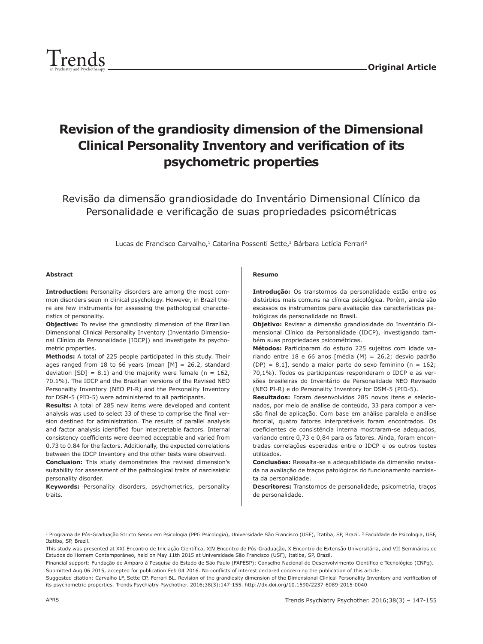

# **Revision of the grandiosity dimension of the Dimensional Clinical Personality Inventory and verification of its psychometric properties**

Revisão da dimensão grandiosidade do Inventário Dimensional Clínico da Personalidade e verificação de suas propriedades psicométricas

Lucas de Francisco Carvalho,<sup>1</sup> Catarina Possenti Sette,<sup>2</sup> Bárbara Letícia Ferrari<sup>2</sup>

#### **Abstract**

**Introduction:** Personality disorders are among the most common disorders seen in clinical psychology. However, in Brazil there are few instruments for assessing the pathological characteristics of personality.

**Objective:** To revise the grandiosity dimension of the Brazilian Dimensional Clinical Personality Inventory (Inventário Dimensional Clínico da Personalidade [IDCP]) and investigate its psychometric properties.

**Methods:** A total of 225 people participated in this study. Their ages ranged from 18 to 66 years (mean  $[M] = 26.2$ , standard deviation  $[SD] = 8.1$ ) and the majority were female (n = 162, 70.1%). The IDCP and the Brazilian versions of the Revised NEO Personality Inventory (NEO PI-R) and the Personality Inventory for DSM-5 (PID-5) were administered to all participants.

**Results:** A total of 285 new items were developed and content analysis was used to select 33 of these to comprise the final version destined for administration. The results of parallel analysis and factor analysis identified four interpretable factors. Internal consistency coefficients were deemed acceptable and varied from 0.73 to 0.84 for the factors. Additionally, the expected correlations between the IDCP Inventory and the other tests were observed.

**Conclusion:** This study demonstrates the revised dimension's suitability for assessment of the pathological traits of narcissistic personality disorder.

**Keywords:** Personality disorders, psychometrics, personality traits.

#### **Resumo**

**Introdução:** Os transtornos da personalidade estão entre os distúrbios mais comuns na clínica psicológica. Porém, ainda são escassos os instrumentos para avaliação das características patológicas da personalidade no Brasil.

**Objetivo:** Revisar a dimensão grandiosidade do Inventário Dimensional Clínico da Personalidade (IDCP), investigando também suas propriedades psicométricas.

**Métodos:** Participaram do estudo 225 sujeitos com idade variando entre 18 e 66 anos [média (M) = 26,2; desvio padrão (DP) =  $8,1$ ], sendo a maior parte do sexo feminino (n = 162; 70,1%). Todos os participantes responderam o IDCP e as versões brasileiras do Inventário de Personalidade NEO Revisado (NEO PI-R) e do Personality Inventory for DSM-5 (PID-5).

**Resultados:** Foram desenvolvidos 285 novos itens e selecionados, por meio de análise de conteúdo, 33 para compor a versão final de aplicação. Com base em análise paralela e análise fatorial, quatro fatores interpretáveis foram encontrados. Os coeficientes de consistência interna mostraram-se adequados, variando entre 0,73 e 0,84 para os fatores. Ainda, foram encontradas correlações esperadas entre o IDCP e os outros testes utilizados.

**Conclusões:** Ressalta-se a adequabilidade da dimensão revisada na avaliação de traços patológicos do funcionamento narcisista da personalidade.

**Descritores:** Transtornos de personalidade, psicometria, traços de personalidade.

<sup>&</sup>lt;sup>1</sup> Programa de Pós-Graduação Stricto Sensu em Psicologia (PPG Psicologia), Universidade São Francisco (USF), Itatiba, SP, Brazil. <sup>2</sup> Faculdade de Psicologia, USF, Itatiba, SP, Brazil.

This study was presented at XXI Encontro de Iniciação Científica, XIV Encontro de Pós-Graduação, X Encontro de Extensão Universitária, and VII Seminários de Estudos do Homem Contemporâneo, held on May 11th 2015 at Universidade São Francisco (USF), Itatiba, SP, Brazil.

Financial support: Fundação de Amparo à Pesquisa do Estado de São Paulo (FAPESP); Conselho Nacional de Desenvolvimento Cientifico e Tecnológico (CNPq). Submitted Aug 06 2015, accepted for publication Feb 04 2016. No conflicts of interest declared concerning the publication of this article.

Suggested citation: Carvalho LF, Sette CP, Ferrari BL. Revision of the grandiosity dimension of the Dimensional Clinical Personality Inventory and verification of its psychometric properties. Trends Psychiatry Psychother. 2016;38(3):147-155. http://dx.doi.org/10.1590/2237-6089-2015-0040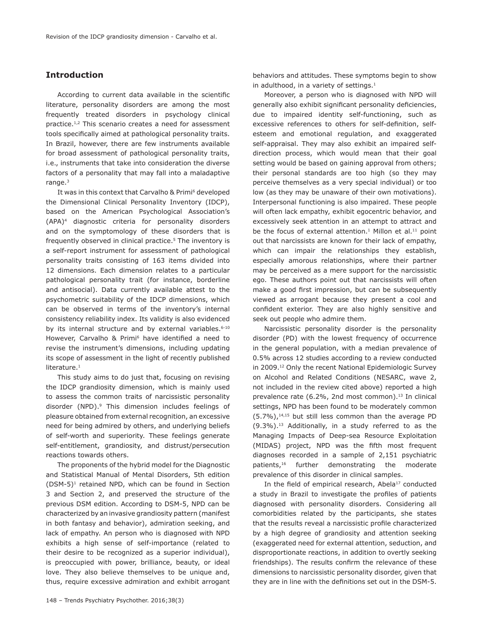# **Introduction**

According to current data available in the scientific literature, personality disorders are among the most frequently treated disorders in psychology clinical practice.<sup>1,2</sup> This scenario creates a need for assessment tools specifically aimed at pathological personality traits. In Brazil, however, there are few instruments available for broad assessment of pathological personality traits, i.e., instruments that take into consideration the diverse factors of a personality that may fall into a maladaptive range.3

It was in this context that Carvalho & Primi<sup>6</sup> developed the Dimensional Clinical Personality Inventory (IDCP), based on the American Psychological Association's (APA)4 diagnostic criteria for personality disorders and on the symptomology of these disorders that is frequently observed in clinical practice.<sup>5</sup> The inventory is a self-report instrument for assessment of pathological personality traits consisting of 163 items divided into 12 dimensions. Each dimension relates to a particular pathological personality trait (for instance, borderline and antisocial). Data currently available attest to the psychometric suitability of the IDCP dimensions, which can be observed in terms of the inventory's internal consistency reliability index. Its validity is also evidenced by its internal structure and by external variables.<sup>6-10</sup> However, Carvalho & Primi<sup>6</sup> have identified a need to revise the instrument's dimensions, including updating its scope of assessment in the light of recently published literature.<sup>1</sup>

This study aims to do just that, focusing on revising the IDCP grandiosity dimension, which is mainly used to assess the common traits of narcissistic personality disorder (NPD).9 This dimension includes feelings of pleasure obtained from external recognition, an excessive need for being admired by others, and underlying beliefs of self-worth and superiority. These feelings generate self-entitlement, grandiosity, and distrust/persecution reactions towards others.

The proponents of the hybrid model for the Diagnostic and Statistical Manual of Mental Disorders, 5th edition (DSM-5)1 retained NPD, which can be found in Section 3 and Section 2, and preserved the structure of the previous DSM edition. According to DSM-5, NPD can be characterized by an invasive grandiosity pattern (manifest in both fantasy and behavior), admiration seeking, and lack of empathy. An person who is diagnosed with NPD exhibits a high sense of self-importance (related to their desire to be recognized as a superior individual), is preoccupied with power, brilliance, beauty, or ideal love. They also believe themselves to be unique and, thus, require excessive admiration and exhibit arrogant behaviors and attitudes. These symptoms begin to show in adulthood, in a variety of settings.<sup>1</sup>

Moreover, a person who is diagnosed with NPD will generally also exhibit significant personality deficiencies, due to impaired identity self-functioning, such as excessive references to others for self-definition, selfesteem and emotional regulation, and exaggerated self-appraisal. They may also exhibit an impaired selfdirection process, which would mean that their goal setting would be based on gaining approval from others; their personal standards are too high (so they may perceive themselves as a very special individual) or too low (as they may be unaware of their own motivations). Interpersonal functioning is also impaired. These people will often lack empathy, exhibit egocentric behavior, and excessively seek attention in an attempt to attract and be the focus of external attention.<sup>1</sup> Millon et al.<sup>11</sup> point out that narcissists are known for their lack of empathy, which can impair the relationships they establish, especially amorous relationships, where their partner may be perceived as a mere support for the narcissistic ego. These authors point out that narcissists will often make a good first impression, but can be subsequently viewed as arrogant because they present a cool and confident exterior. They are also highly sensitive and seek out people who admire them.

Narcissistic personality disorder is the personality disorder (PD) with the lowest frequency of occurrence in the general population, with a median prevalence of 0.5% across 12 studies according to a review conducted in 2009.<sup>12</sup> Only the recent National Epidemiologic Survey on Alcohol and Related Conditions (NESARC, wave 2, not included in the review cited above) reported a high prevalence rate (6.2%, 2nd most common).<sup>13</sup> In clinical settings, NPD has been found to be moderately common  $(5.7\%)$ ,<sup>14,15</sup> but still less common than the average PD (9.3%).<sup>13</sup> Additionally, in a study referred to as the Managing Impacts of Deep-sea Resource Exploitation (MIDAS) project, NPD was the fifth most frequent diagnoses recorded in a sample of 2,151 psychiatric patients,<sup>16</sup> further demonstrating the moderate prevalence of this disorder in clinical samples.

In the field of empirical research, Abela<sup>17</sup> conducted a study in Brazil to investigate the profiles of patients diagnosed with personality disorders. Considering all comorbidities related by the participants, she states that the results reveal a narcissistic profile characterized by a high degree of grandiosity and attention seeking (exaggerated need for external attention, seduction, and disproportionate reactions, in addition to overtly seeking friendships). The results confirm the relevance of these dimensions to narcissistic personality disorder, given that they are in line with the definitions set out in the DSM-5.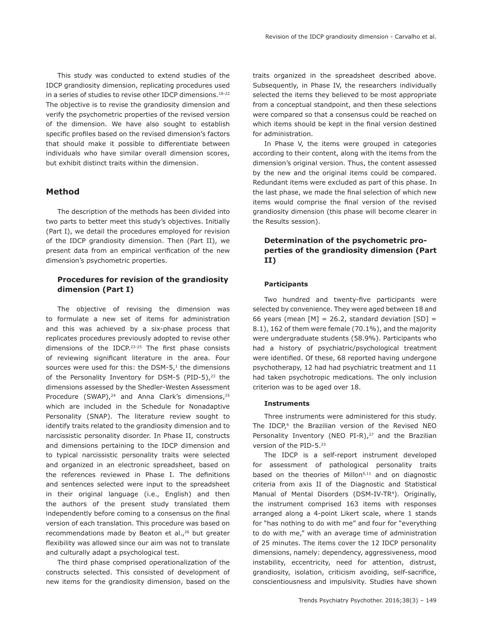This study was conducted to extend studies of the IDCP grandiosity dimension, replicating procedures used in a series of studies to revise other IDCP dimensions.<sup>18-22</sup> The objective is to revise the grandiosity dimension and verify the psychometric properties of the revised version of the dimension. We have also sought to establish specific profiles based on the revised dimension's factors that should make it possible to differentiate between individuals who have similar overall dimension scores, but exhibit distinct traits within the dimension.

## **Method**

The description of the methods has been divided into two parts to better meet this study's objectives. Initially (Part I), we detail the procedures employed for revision of the IDCP grandiosity dimension. Then (Part II), we present data from an empirical verification of the new dimension's psychometric properties.

# **Procedures for revision of the grandiosity dimension (Part I)**

The objective of revising the dimension was to formulate a new set of items for administration and this was achieved by a six-phase process that replicates procedures previously adopted to revise other dimensions of the IDCP.23-25 The first phase consists of reviewing significant literature in the area. Four sources were used for this: the DSM- $5<sup>1</sup>$  the dimensions of the Personality Inventory for DSM-5 (PID-5),<sup>23</sup> the dimensions assessed by the Shedler-Westen Assessment Procedure  $(SWAP)_r^{24}$  and Anna Clark's dimensions,<sup>25</sup> which are included in the Schedule for Nonadaptive Personality (SNAP). The literature review sought to identify traits related to the grandiosity dimension and to narcissistic personality disorder. In Phase II, constructs and dimensions pertaining to the IDCP dimension and to typical narcissistic personality traits were selected and organized in an electronic spreadsheet, based on the references reviewed in Phase I. The definitions and sentences selected were input to the spreadsheet in their original language (i.e., English) and then the authors of the present study translated them independently before coming to a consensus on the final version of each translation. This procedure was based on recommendations made by Beaton et al.,<sup>26</sup> but greater flexibility was allowed since our aim was not to translate and culturally adapt a psychological test.

The third phase comprised operationalization of the constructs selected. This consisted of development of new items for the grandiosity dimension, based on the traits organized in the spreadsheet described above. Subsequently, in Phase IV, the researchers individually selected the items they believed to be most appropriate from a conceptual standpoint, and then these selections were compared so that a consensus could be reached on which items should be kept in the final version destined for administration.

In Phase V, the items were grouped in categories according to their content, along with the items from the dimension's original version. Thus, the content assessed by the new and the original items could be compared. Redundant items were excluded as part of this phase. In the last phase, we made the final selection of which new items would comprise the final version of the revised grandiosity dimension (this phase will become clearer in the Results session).

# **Determination of the psychometric properties of the grandiosity dimension (Part II)**

### **Participants**

Two hundred and twenty-five participants were selected by convenience. They were aged between 18 and 66 years (mean  $[M] = 26.2$ , standard deviation  $[SD] =$ 8.1), 162 of them were female (70.1%), and the majority were undergraduate students (58.9%). Participants who had a history of psychiatric/psychological treatment were identified. Of these, 68 reported having undergone psychotherapy, 12 had had psychiatric treatment and 11 had taken psychotropic medications. The only inclusion criterion was to be aged over 18.

#### **Instruments**

Three instruments were administered for this study. The IDCP,<sup>6</sup> the Brazilian version of the Revised NEO Personality Inventory (NEO PI-R),<sup>27</sup> and the Brazilian version of the PID-5.23

The IDCP is a self-report instrument developed for assessment of pathological personality traits based on the theories of Millon<sup>5,11</sup> and on diagnostic criteria from axis II of the Diagnostic and Statistical Manual of Mental Disorders (DSM-IV-TR<sup>4</sup>). Originally, the instrument comprised 163 items with responses arranged along a 4-point Likert scale, where 1 stands for "has nothing to do with me" and four for "everything to do with me," with an average time of administration of 25 minutes. The items cover the 12 IDCP personality dimensions, namely: dependency, aggressiveness, mood instability, eccentricity, need for attention, distrust, grandiosity, isolation, criticism avoiding, self-sacrifice, conscientiousness and impulsivity. Studies have shown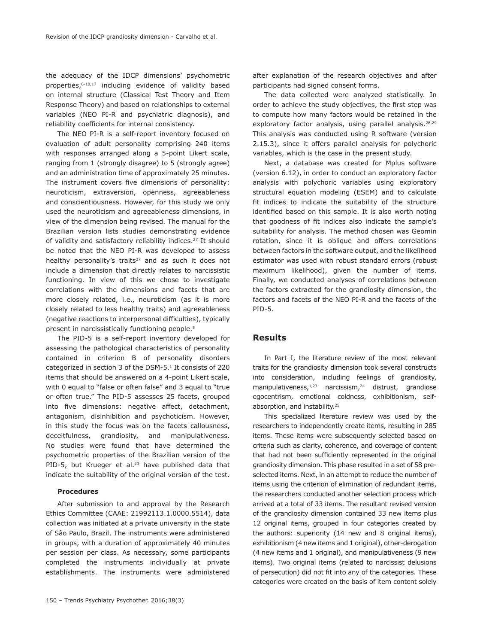the adequacy of the IDCP dimensions' psychometric properties, 6-10,17 including evidence of validity based on internal structure (Classical Test Theory and Item Response Theory) and based on relationships to external variables (NEO PI-R and psychiatric diagnosis), and reliability coefficients for internal consistency.

The NEO PI-R is a self-report inventory focused on evaluation of adult personality comprising 240 items with responses arranged along a 5-point Likert scale, ranging from 1 (strongly disagree) to 5 (strongly agree) and an administration time of approximately 25 minutes. The instrument covers five dimensions of personality: neuroticism, extraversion, openness, agreeableness and conscientiousness. However, for this study we only used the neuroticism and agreeableness dimensions, in view of the dimension being revised. The manual for the Brazilian version lists studies demonstrating evidence of validity and satisfactory reliability indices.<sup>27</sup> It should be noted that the NEO PI-R was developed to assess healthy personality's traits<sup>27</sup> and as such it does not include a dimension that directly relates to narcissistic functioning. In view of this we chose to investigate correlations with the dimensions and facets that are more closely related, i.e., neuroticism (as it is more closely related to less healthy traits) and agreeableness (negative reactions to interpersonal difficulties), typically present in narcissistically functioning people.<sup>5</sup>

The PID-5 is a self-report inventory developed for assessing the pathological characteristics of personality contained in criterion B of personality disorders categorized in section 3 of the DSM-5.1 It consists of 220 items that should be answered on a 4-point Likert scale, with 0 equal to "false or often false" and 3 equal to "true or often true." The PID-5 assesses 25 facets, grouped into five dimensions: negative affect, detachment, antagonism, disinhibition and psychoticism. However, in this study the focus was on the facets callousness, deceitfulness, grandiosity, and manipulativeness. No studies were found that have determined the psychometric properties of the Brazilian version of the PID-5, but Krueger et al.<sup>23</sup> have published data that indicate the suitability of the original version of the test.

#### **Procedures**

After submission to and approval by the Research Ethics Committee (CAAE: 21992113.1.0000.5514), data collection was initiated at a private university in the state of São Paulo, Brazil. The instruments were administered in groups, with a duration of approximately 40 minutes per session per class. As necessary, some participants completed the instruments individually at private establishments. The instruments were administered after explanation of the research objectives and after participants had signed consent forms.

The data collected were analyzed statistically. In order to achieve the study objectives, the first step was to compute how many factors would be retained in the exploratory factor analysis, using parallel analysis.<sup>28,29</sup> This analysis was conducted using R software (version 2.15.3), since it offers parallel analysis for polychoric variables, which is the case in the present study.

Next, a database was created for Mplus software (version 6.12), in order to conduct an exploratory factor analysis with polychoric variables using exploratory structural equation modeling (ESEM) and to calculate fit indices to indicate the suitability of the structure identified based on this sample. It is also worth noting that goodness of fit indices also indicate the sample's suitability for analysis. The method chosen was Geomin rotation, since it is oblique and offers correlations between factors in the software output, and the likelihood estimator was used with robust standard errors (robust maximum likelihood), given the number of items. Finally, we conducted analyses of correlations between the factors extracted for the grandiosity dimension, the factors and facets of the NEO PI-R and the facets of the PID-5.

## **Results**

In Part I, the literature review of the most relevant traits for the grandiosity dimension took several constructs into consideration, including feelings of grandiosity, manipulativeness, $1,23$  narcissism, $24$  distrust, grandiose egocentrism, emotional coldness, exhibitionism, selfabsorption, and instability.<sup>25</sup>

This specialized literature review was used by the researchers to independently create items, resulting in 285 items. These items were subsequently selected based on criteria such as clarity, coherence, and coverage of content that had not been sufficiently represented in the original grandiosity dimension. This phase resulted in a set of 58 preselected items. Next, in an attempt to reduce the number of items using the criterion of elimination of redundant items, the researchers conducted another selection process which arrived at a total of 33 items. The resultant revised version of the grandiosity dimension contained 33 new items plus 12 original items, grouped in four categories created by the authors: superiority (14 new and 8 original items), exhibitionism (4 new items and 1 original), other-derogation (4 new items and 1 original), and manipulativeness (9 new items). Two original items (related to narcissist delusions of persecution) did not fit into any of the categories. These categories were created on the basis of item content solely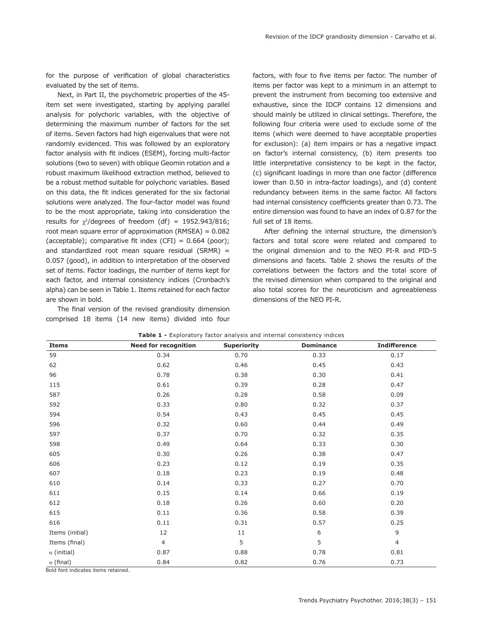for the purpose of verification of global characteristics evaluated by the set of items.

Next, in Part II, the psychometric properties of the 45 item set were investigated, starting by applying parallel analysis for polychoric variables, with the objective of determining the maximum number of factors for the set of items. Seven factors had high eigenvalues that were not randomly evidenced. This was followed by an exploratory factor analysis with fit indices (ESEM), forcing multi-factor solutions (two to seven) with oblique Geomin rotation and a robust maximum likelihood extraction method, believed to be a robust method suitable for polychoric variables. Based on this data, the fit indices generated for the six factorial solutions were analyzed. The four-factor model was found to be the most appropriate, taking into consideration the results for  $\gamma^2$ /degrees of freedom (df) = 1952.943/816; root mean square error of approximation (RMSEA) = 0.082 (acceptable); comparative fit index  $(CFI) = 0.664$  (poor); and standardized root mean square residual (SRMR) = 0.057 (good), in addition to interpretation of the observed set of items. Factor loadings, the number of items kept for each factor, and internal consistency indices (Cronbach's alpha) can be seen in Table 1. Items retained for each factor are shown in bold.

The final version of the revised grandiosity dimension comprised 18 items (14 new items) divided into four factors, with four to five items per factor. The number of items per factor was kept to a minimum in an attempt to prevent the instrument from becoming too extensive and exhaustive, since the IDCP contains 12 dimensions and should mainly be utilized in clinical settings. Therefore, the following four criteria were used to exclude some of the items (which were deemed to have acceptable properties for exclusion): (a) item impairs or has a negative impact on factor's internal consistency, (b) item presents too little interpretative consistency to be kept in the factor, (c) significant loadings in more than one factor (difference lower than 0.50 in intra-factor loadings), and (d) content redundancy between items in the same factor. All factors had internal consistency coefficients greater than 0.73. The entire dimension was found to have an index of 0.87 for the full set of 18 items.

After defining the internal structure, the dimension's factors and total score were related and compared to the original dimension and to the NEO PI-R and PID-5 dimensions and facets. Table 2 shows the results of the correlations between the factors and the total score of the revised dimension when compared to the original and also total scores for the neuroticism and agreeableness dimensions of the NEO PI-R.

| <b>Items</b>       | <b>Need for recognition</b> | <b>Superiority</b> | <b>Dominance</b> | <b>Indifference</b> |
|--------------------|-----------------------------|--------------------|------------------|---------------------|
| 59                 | 0.34                        | 0.70               | 0.33             | 0.17                |
| 62                 | 0.62                        | 0.46               | 0.45             | 0.43                |
| 96                 | 0.78                        | 0.38               | 0.30             | 0.41                |
| 115                | 0.61                        | 0.39               | 0.28             | 0.47                |
| 587                | 0.26                        | 0.28               | 0.58             | 0.09                |
| 592                | 0.33                        | 0.80               | 0.32             | 0.37                |
| 594                | 0.54                        | 0.43               | 0.45             | 0.45                |
| 596                | 0.32                        | 0.60               | 0.44             | 0.49                |
| 597                | 0.37                        | 0.70               | 0.32             | 0.35                |
| 598                | 0.49                        | 0.64               | 0.33             | 0.30                |
| 605                | 0.30                        | 0.26               | 0.38             | 0.47                |
| 606                | 0.23                        | 0.12               | 0.19             | 0.35                |
| 607                | 0.18                        | 0.23               | 0.19             | 0.48                |
| 610                | 0.14                        | 0.33               | 0.27             | 0.70                |
| 611                | 0.15                        | 0.14               | 0.66             | 0.19                |
| 612                | 0.18                        | 0.26               | 0.60             | 0.20                |
| 615                | 0.11                        | 0.36               | 0.58             | 0.39                |
| 616                | 0.11                        | 0.31               | 0.57             | 0.25                |
| Items (initial)    | 12                          | 11                 | 6                | 9                   |
| Items (final)      | $\overline{4}$              | 5                  | 5                | $\overline{4}$      |
| $\alpha$ (initial) | 0.87                        | 0.88               | 0.78             | 0.81                |
| $\alpha$ (final)   | 0.84                        | 0.82               | 0.76             | 0.73                |

Bold font indicates items retained.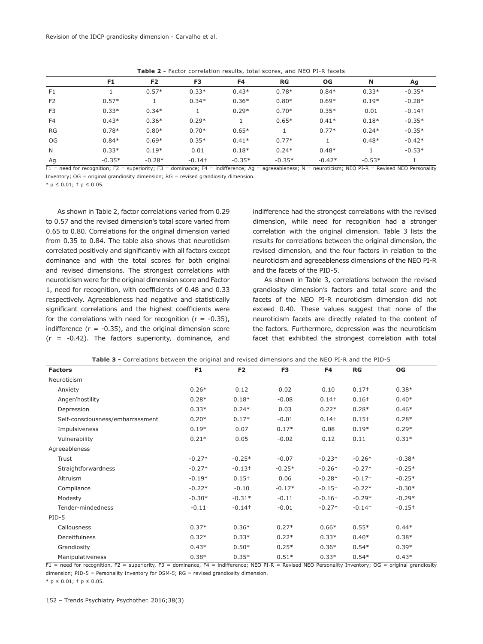|                | F1       | F <sub>2</sub> | F <sub>3</sub>       | F4       | RG       | OG       | N        | Ag                   |
|----------------|----------|----------------|----------------------|----------|----------|----------|----------|----------------------|
| F <sub>1</sub> |          | $0.57*$        | $0.33*$              | $0.43*$  | $0.78*$  | $0.84*$  | $0.33*$  | $-0.35*$             |
| F <sub>2</sub> | $0.57*$  |                | $0.34*$              | $0.36*$  | $0.80*$  | $0.69*$  | $0.19*$  | $-0.28*$             |
| F <sub>3</sub> | $0.33*$  | $0.34*$        |                      | $0.29*$  | $0.70*$  | $0.35*$  | 0.01     | $-0.14$ <sup>+</sup> |
| F <sub>4</sub> | $0.43*$  | $0.36*$        | $0.29*$              |          | $0.65*$  | $0.41*$  | $0.18*$  | $-0.35*$             |
| <b>RG</b>      | $0.78*$  | $0.80*$        | $0.70*$              | $0.65*$  |          | $0.77*$  | $0.24*$  | $-0.35*$             |
| OG             | $0.84*$  | $0.69*$        | $0.35*$              | $0.41*$  | $0.77*$  |          | $0.48*$  | $-0.42*$             |
| N              | $0.33*$  | $0.19*$        | 0.01                 | $0.18*$  | $0.24*$  | $0.48*$  |          | $-0.53*$             |
| Ag             | $-0.35*$ | $-0.28*$       | $-0.14$ <sup>+</sup> | $-0.35*$ | $-0.35*$ | $-0.42*$ | $-0.53*$ |                      |

**Table 2 -** Factor correlation results, total scores, and NEO PI-R facets

 $F1$  = need for recognition; F2 = superiority; F3 = dominance; F4 = indifference; Ag = agreeableness; N = neuroticism; NEO PI-R = Revised NEO Personality Inventory:  $OG =$  original grandiosity dimension:  $RG =$  revised grandiosity dimension.

\*  $p \le 0.01$ ; †  $p \le 0.05$ .

As shown in Table 2, factor correlations varied from 0.29 to 0.57 and the revised dimension's total score varied from 0.65 to 0.80. Correlations for the original dimension varied from 0.35 to 0.84. The table also shows that neuroticism correlated positively and significantly with all factors except dominance and with the total scores for both original and revised dimensions. The strongest correlations with neuroticism were for the original dimension score and Factor 1, need for recognition, with coefficients of 0.48 and 0.33 respectively. Agreeableness had negative and statistically significant correlations and the highest coefficients were for the correlations with need for recognition ( $r = -0.35$ ), indifference ( $r = -0.35$ ), and the original dimension score  $(r = -0.42)$ . The factors superiority, dominance, and indifference had the strongest correlations with the revised dimension, while need for recognition had a stronger correlation with the original dimension. Table 3 lists the results for correlations between the original dimension, the revised dimension, and the four factors in relation to the neuroticism and agreeableness dimensions of the NEO PI-R and the facets of the PID-5.

As shown in Table 3, correlations between the revised grandiosity dimension's factors and total score and the facets of the NEO PI-R neuroticism dimension did not exceed 0.40. These values suggest that none of the neuroticism facets are directly related to the content of the factors. Furthermore, depression was the neuroticism facet that exhibited the strongest correlation with total

| <b>Factors</b>                   | F <sub>1</sub> | F <sub>2</sub>       | F3       | F4       | RG                   | OG       |
|----------------------------------|----------------|----------------------|----------|----------|----------------------|----------|
| Neuroticism                      |                |                      |          |          |                      |          |
| Anxiety                          | $0.26*$        | 0.12                 | 0.02     | 0.10     | $0.17+$              | $0.38*$  |
| Anger/hostility                  | $0.28*$        | $0.18*$              | $-0.08$  | $0.14 +$ | $0.16+$              | $0.40*$  |
| Depression                       | $0.33*$        | $0.24*$              | 0.03     | $0.22*$  | $0.28*$              | $0.46*$  |
| Self-consciousness/embarrassment | $0.20*$        | $0.17*$              | $-0.01$  | $0.14 +$ | $0.15+$              | $0.28*$  |
| Impulsiveness                    | $0.19*$        | 0.07                 | $0.17*$  | 0.08     | $0.19*$              | $0.29*$  |
| Vulnerability                    | $0.21*$        | 0.05                 | $-0.02$  | 0.12     | 0.11                 | $0.31*$  |
| Agreeableness                    |                |                      |          |          |                      |          |
| Trust                            | $-0.27*$       | $-0.25*$             | $-0.07$  | $-0.23*$ | $-0.26*$             | $-0.38*$ |
| Straightforwardness              | $-0.27*$       | $-0.13+$             | $-0.25*$ | $-0.26*$ | $-0.27*$             | $-0.25*$ |
| Altruism                         | $-0.19*$       | $0.15+$              | 0.06     | $-0.28*$ | $-0.17+$             | $-0.25*$ |
| Compliance                       | $-0.22*$       | $-0.10$              | $-0.17*$ | $-0.15+$ | $-0.22*$             | $-0.30*$ |
| Modesty                          | $-0.30*$       | $-0.31*$             | $-0.11$  | $-0.16+$ | $-0.29*$             | $-0.29*$ |
| Tender-mindedness                | $-0.11$        | $-0.14$ <sup>+</sup> | $-0.01$  | $-0.27*$ | $-0.14$ <sup>+</sup> | $-0.15+$ |
| PID-5                            |                |                      |          |          |                      |          |
| Callousness                      | $0.37*$        | $0.36*$              | $0.27*$  | $0.66*$  | $0.55*$              | $0.44*$  |
| Deceitfulness                    | $0.32*$        | $0.33*$              | $0.22*$  | $0.33*$  | $0.40*$              | $0.38*$  |
| Grandiosity                      | $0.43*$        | $0.50*$              | $0.25*$  | $0.36*$  | $0.54*$              | $0.39*$  |
| Manipulativeness                 | $0.38*$        | $0.35*$              | $0.51*$  | $0.33*$  | $0.54*$              | $0.43*$  |

**Table 3 -** Correlations between the original and revised dimensions and the NEO PI-R and the PID-5

F1 = need for recognition, F2 = superiority, F3 = dominance, F4 = indifference; NEO PI-R = Revised NEO Personality Inventory; OG = original grandiosity dimension; PID-5 = Personality Inventory for DSM-5; RG = revised grandiosity dimension.

\*  $p \le 0.01$ ; †  $p \le 0.05$ .

152 – Trends Psychiatry Psychother. 2016;38(3)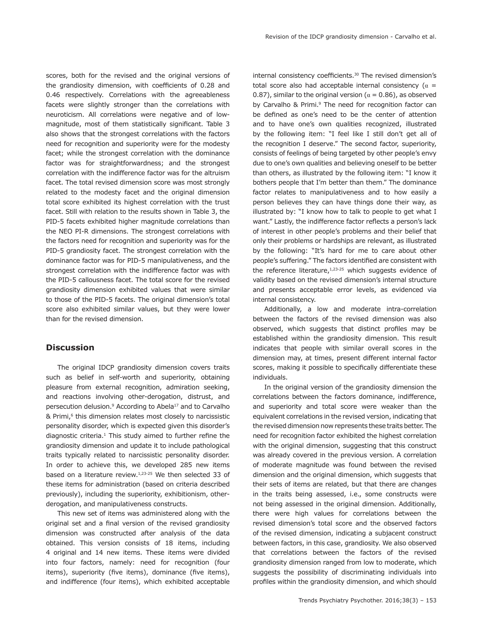scores, both for the revised and the original versions of the grandiosity dimension, with coefficients of 0.28 and 0.46 respectively. Correlations with the agreeableness facets were slightly stronger than the correlations with neuroticism. All correlations were negative and of lowmagnitude, most of them statistically significant. Table 3 also shows that the strongest correlations with the factors need for recognition and superiority were for the modesty facet; while the strongest correlation with the dominance factor was for straightforwardness; and the strongest correlation with the indifference factor was for the altruism facet. The total revised dimension score was most strongly related to the modesty facet and the original dimension total score exhibited its highest correlation with the trust facet. Still with relation to the results shown in Table 3, the PID-5 facets exhibited higher magnitude correlations than the NEO PI-R dimensions. The strongest correlations with the factors need for recognition and superiority was for the PID-5 grandiosity facet. The strongest correlation with the dominance factor was for PID-5 manipulativeness, and the strongest correlation with the indifference factor was with the PID-5 callousness facet. The total score for the revised grandiosity dimension exhibited values that were similar to those of the PID-5 facets. The original dimension's total score also exhibited similar values, but they were lower than for the revised dimension.

# **Discussion**

The original IDCP grandiosity dimension covers traits such as belief in self-worth and superiority, obtaining pleasure from external recognition, admiration seeking, and reactions involving other-derogation, distrust, and persecution delusion.<sup>9</sup> According to Abela<sup>17</sup> and to Carvalho & Primi,<sup>6</sup> this dimension relates most closely to narcissistic personality disorder, which is expected given this disorder's diagnostic criteria. $1$  This study aimed to further refine the grandiosity dimension and update it to include pathological traits typically related to narcissistic personality disorder. In order to achieve this, we developed 285 new items based on a literature review.<sup>1,23-25</sup> We then selected 33 of these items for administration (based on criteria described previously), including the superiority, exhibitionism, otherderogation, and manipulativeness constructs.

This new set of items was administered along with the original set and a final version of the revised grandiosity dimension was constructed after analysis of the data obtained. This version consists of 18 items, including 4 original and 14 new items. These items were divided into four factors, namely: need for recognition (four items), superiority (five items), dominance (five items), and indifference (four items), which exhibited acceptable internal consistency coefficients.<sup>30</sup> The revised dimension's total score also had acceptable internal consistency ( $\alpha$  = 0.87), similar to the original version ( $\alpha$  = 0.86), as observed by Carvalho & Primi.<sup>9</sup> The need for recognition factor can be defined as one's need to be the center of attention and to have one's own qualities recognized, illustrated by the following item: "I feel like I still don't get all of the recognition I deserve." The second factor, superiority, consists of feelings of being targeted by other people's envy due to one's own qualities and believing oneself to be better than others, as illustrated by the following item: "I know it bothers people that I'm better than them." The dominance factor relates to manipulativeness and to how easily a person believes they can have things done their way, as illustrated by: "I know how to talk to people to get what I want." Lastly, the indifference factor reflects a person's lack of interest in other people's problems and their belief that only their problems or hardships are relevant, as illustrated by the following: "It's hard for me to care about other people's suffering." The factors identified are consistent with the reference literature, $1,23-25$  which suggests evidence of validity based on the revised dimension's internal structure and presents acceptable error levels, as evidenced via internal consistency.

Additionally, a low and moderate intra-correlation between the factors of the revised dimension was also observed, which suggests that distinct profiles may be established within the grandiosity dimension. This result indicates that people with similar overall scores in the dimension may, at times, present different internal factor scores, making it possible to specifically differentiate these individuals.

In the original version of the grandiosity dimension the correlations between the factors dominance, indifference, and superiority and total score were weaker than the equivalent correlations in the revised version, indicating that the revised dimension now represents these traits better. The need for recognition factor exhibited the highest correlation with the original dimension, suggesting that this construct was already covered in the previous version. A correlation of moderate magnitude was found between the revised dimension and the original dimension, which suggests that their sets of items are related, but that there are changes in the traits being assessed, i.e., some constructs were not being assessed in the original dimension. Additionally, there were high values for correlations between the revised dimension's total score and the observed factors of the revised dimension, indicating a subjacent construct between factors, in this case, grandiosity. We also observed that correlations between the factors of the revised grandiosity dimension ranged from low to moderate, which suggests the possibility of discriminating individuals into profiles within the grandiosity dimension, and which should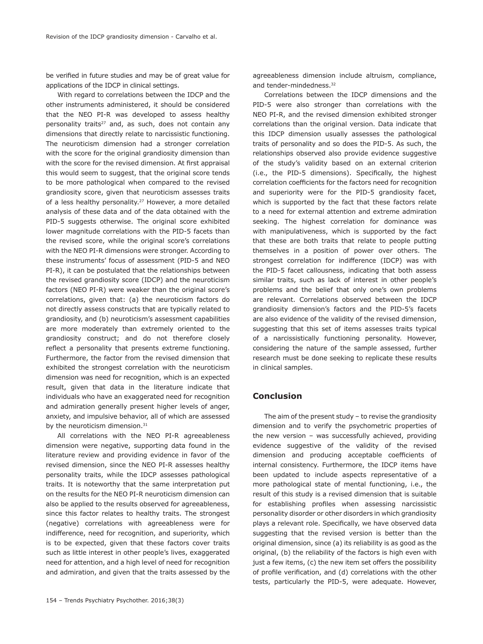be verified in future studies and may be of great value for applications of the IDCP in clinical settings.

With regard to correlations between the IDCP and the other instruments administered, it should be considered that the NEO PI-R was developed to assess healthy personality traits<sup>27</sup> and, as such, does not contain any dimensions that directly relate to narcissistic functioning. The neuroticism dimension had a stronger correlation with the score for the original grandiosity dimension than with the score for the revised dimension. At first appraisal this would seem to suggest, that the original score tends to be more pathological when compared to the revised grandiosity score, given that neuroticism assesses traits of a less healthy personality.<sup>27</sup> However, a more detailed analysis of these data and of the data obtained with the PID-5 suggests otherwise. The original score exhibited lower magnitude correlations with the PID-5 facets than the revised score, while the original score's correlations with the NEO PI-R dimensions were stronger. According to these instruments' focus of assessment (PID-5 and NEO PI-R), it can be postulated that the relationships between the revised grandiosity score (IDCP) and the neuroticism factors (NEO PI-R) were weaker than the original score's correlations, given that: (a) the neuroticism factors do not directly assess constructs that are typically related to grandiosity, and (b) neuroticism's assessment capabilities are more moderately than extremely oriented to the grandiosity construct; and do not therefore closely reflect a personality that presents extreme functioning. Furthermore, the factor from the revised dimension that exhibited the strongest correlation with the neuroticism dimension was need for recognition, which is an expected result, given that data in the literature indicate that individuals who have an exaggerated need for recognition and admiration generally present higher levels of anger, anxiety, and impulsive behavior, all of which are assessed by the neuroticism dimension.<sup>31</sup>

All correlations with the NEO PI-R agreeableness dimension were negative, supporting data found in the literature review and providing evidence in favor of the revised dimension, since the NEO PI-R assesses healthy personality traits, while the IDCP assesses pathological traits. It is noteworthy that the same interpretation put on the results for the NEO PI-R neuroticism dimension can also be applied to the results observed for agreeableness, since this factor relates to healthy traits. The strongest (negative) correlations with agreeableness were for indifference, need for recognition, and superiority, which is to be expected, given that these factors cover traits such as little interest in other people's lives, exaggerated need for attention, and a high level of need for recognition and admiration, and given that the traits assessed by the agreeableness dimension include altruism, compliance, and tender-mindedness.<sup>32</sup>

Correlations between the IDCP dimensions and the PID-5 were also stronger than correlations with the NEO PI-R, and the revised dimension exhibited stronger correlations than the original version. Data indicate that this IDCP dimension usually assesses the pathological traits of personality and so does the PID-5. As such, the relationships observed also provide evidence suggestive of the study's validity based on an external criterion (i.e., the PID-5 dimensions). Specifically, the highest correlation coefficients for the factors need for recognition and superiority were for the PID-5 grandiosity facet, which is supported by the fact that these factors relate to a need for external attention and extreme admiration seeking. The highest correlation for dominance was with manipulativeness, which is supported by the fact that these are both traits that relate to people putting themselves in a position of power over others. The strongest correlation for indifference (IDCP) was with the PID-5 facet callousness, indicating that both assess similar traits, such as lack of interest in other people's problems and the belief that only one's own problems are relevant. Correlations observed between the IDCP grandiosity dimension's factors and the PID-5's facets are also evidence of the validity of the revised dimension, suggesting that this set of items assesses traits typical of a narcissistically functioning personality. However, considering the nature of the sample assessed, further research must be done seeking to replicate these results in clinical samples.

# **Conclusion**

The aim of the present study – to revise the grandiosity dimension and to verify the psychometric properties of the new version – was successfully achieved, providing evidence suggestive of the validity of the revised dimension and producing acceptable coefficients of internal consistency. Furthermore, the IDCP items have been updated to include aspects representative of a more pathological state of mental functioning, i.e., the result of this study is a revised dimension that is suitable for establishing profiles when assessing narcissistic personality disorder or other disorders in which grandiosity plays a relevant role. Specifically, we have observed data suggesting that the revised version is better than the original dimension, since (a) its reliability is as good as the original, (b) the reliability of the factors is high even with just a few items, (c) the new item set offers the possibility of profile verification, and (d) correlations with the other tests, particularly the PID-5, were adequate. However,